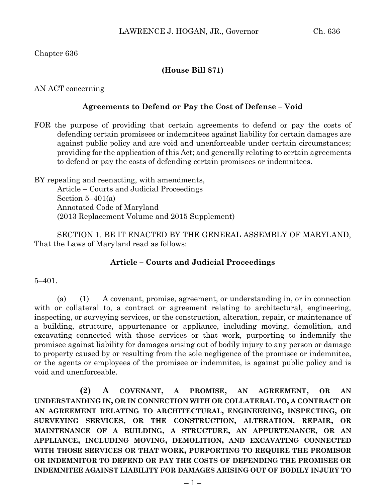### Chapter 636

## **(House Bill 871)**

#### AN ACT concerning

#### **Agreements to Defend or Pay the Cost of Defense – Void**

FOR the purpose of providing that certain agreements to defend or pay the costs of defending certain promisees or indemnitees against liability for certain damages are against public policy and are void and unenforceable under certain circumstances; providing for the application of this Act; and generally relating to certain agreements to defend or pay the costs of defending certain promisees or indemnitees.

BY repealing and reenacting, with amendments, Article – Courts and Judicial Proceedings Section  $5-401(a)$ Annotated Code of Maryland (2013 Replacement Volume and 2015 Supplement)

SECTION 1. BE IT ENACTED BY THE GENERAL ASSEMBLY OF MARYLAND, That the Laws of Maryland read as follows:

#### **Article – Courts and Judicial Proceedings**

#### 5–401.

(a) (1) A covenant, promise, agreement, or understanding in, or in connection with or collateral to, a contract or agreement relating to architectural, engineering, inspecting, or surveying services, or the construction, alteration, repair, or maintenance of a building, structure, appurtenance or appliance, including moving, demolition, and excavating connected with those services or that work, purporting to indemnify the promisee against liability for damages arising out of bodily injury to any person or damage to property caused by or resulting from the sole negligence of the promisee or indemnitee, or the agents or employees of the promisee or indemnitee, is against public policy and is void and unenforceable.

**(2) A COVENANT, A PROMISE, AN AGREEMENT, OR AN UNDERSTANDING IN, OR IN CONNECTION WITH OR COLLATERAL TO, A CONTRACT OR AN AGREEMENT RELATING TO ARCHITECTURAL, ENGINEERING, INSPECTING, OR SURVEYING SERVICES, OR THE CONSTRUCTION, ALTERATION, REPAIR, OR MAINTENANCE OF A BUILDING, A STRUCTURE, AN APPURTENANCE, OR AN APPLIANCE, INCLUDING MOVING, DEMOLITION, AND EXCAVATING CONNECTED WITH THOSE SERVICES OR THAT WORK, PURPORTING TO REQUIRE THE PROMISOR OR INDEMNITOR TO DEFEND OR PAY THE COSTS OF DEFENDING THE PROMISEE OR INDEMNITEE AGAINST LIABILITY FOR DAMAGES ARISING OUT OF BODILY INJURY TO**